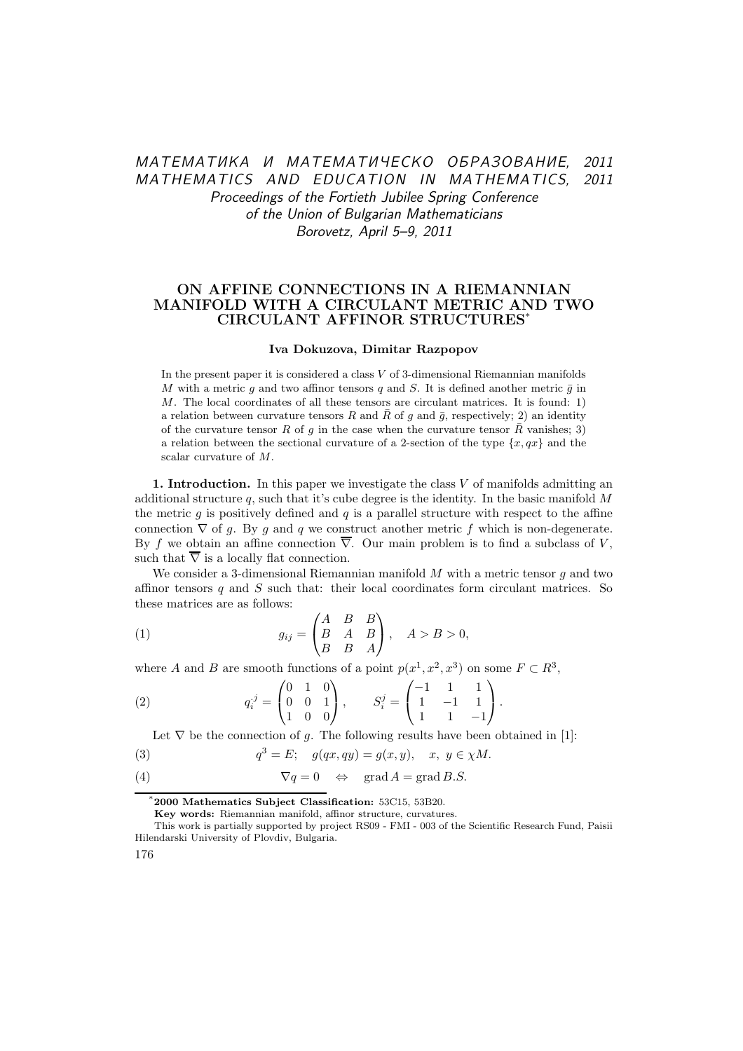# МАТЕМАТИКА И МАТЕМАТИЧЕСКО ОБРАЗОВАНИЕ, 2011 MATHEMATICS AND EDUCATION IN MATHEMATICS, 2011 Proceedings of the Fortieth Jubilee Spring Conference of the Union of Bulgarian Mathematicians Borovetz, April 5–9, 2011

## ON AFFINE CONNECTIONS IN A RIEMANNIAN MANIFOLD WITH A CIRCULANT METRIC AND TWO CIRCULANT AFFINOR STRUCTURES\*

#### Iva Dokuzova, Dimitar Razpopov

In the present paper it is considered a class  $V$  of 3-dimensional Riemannian manifolds M with a metric g and two affinor tensors q and S. It is defined another metric  $\bar{g}$  in M. The local coordinates of all these tensors are circulant matrices. It is found: 1) a relation between curvature tensors R and  $\overline{R}$  of g and  $\overline{g}$ , respectively; 2) an identity of the curvature tensor R of g in the case when the curvature tensor  $\bar{R}$  vanishes; 3) a relation between the sectional curvature of a 2-section of the type  $\{x, qx\}$  and the scalar curvature of M.

1. Introduction. In this paper we investigate the class  $V$  of manifolds admitting an additional structure  $q$ , such that it's cube degree is the identity. In the basic manifold  $M$ the metric g is positively defined and  $q$  is a parallel structure with respect to the affine connection  $\nabla$  of q. By q and q we construct another metric f which is non-degenerate. By f we obtain an affine connection  $\overline{\nabla}$ . Our main problem is to find a subclass of V, such that  $\overline{\nabla}$  is a locally flat connection.

We consider a 3-dimensional Riemannian manifold  $M$  with a metric tensor  $q$  and two affinor tensors q and  $S$  such that: their local coordinates form circulant matrices. So these matrices are as follows:

(1) 
$$
g_{ij} = \begin{pmatrix} A & B & B \\ B & A & B \\ B & B & A \end{pmatrix}, \quad A > B > 0,
$$

where A and B are smooth functions of a point  $p(x^1, x^2, x^3)$  on some  $F \subset R^3$ ,

(2) 
$$
q_i^j = \begin{pmatrix} 0 & 1 & 0 \\ 0 & 0 & 1 \\ 1 & 0 & 0 \end{pmatrix}, \qquad S_i^j = \begin{pmatrix} -1 & 1 & 1 \\ 1 & -1 & 1 \\ 1 & 1 & -1 \end{pmatrix}.
$$

Let  $\nabla$  be the connection of g. The following results have been obtained in [1]:

(3) 
$$
q^3 = E
$$
;  $g(qx, qy) = g(x, y), x, y \in \chi M$ .

(4) 
$$
\nabla q = 0 \Leftrightarrow \text{grad } A = \text{grad } B.S.
$$

Key words: Riemannian manifold, affinor structure, curvatures.

176

<sup>\*</sup>2000 Mathematics Subject Classification: 53C15, 53B20.

This work is partially supported by project RS09 - FMI - 003 of the Scientific Research Fund, Paisii Hilendarski University of Plovdiv, Bulgaria.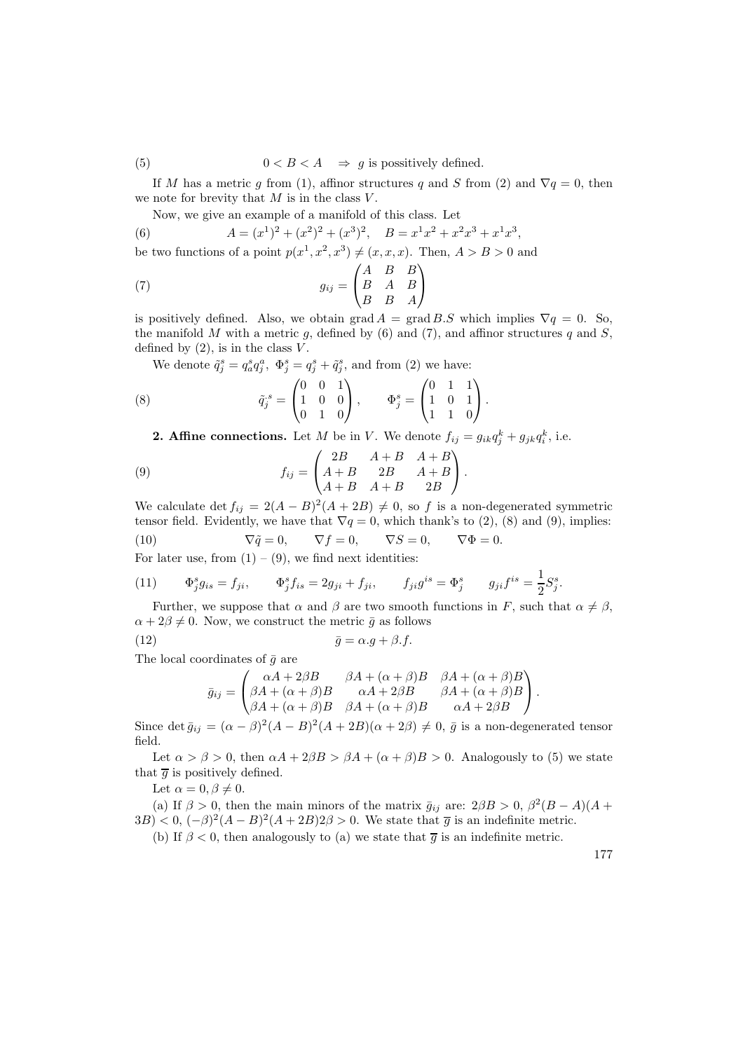(5)  $0 < B < A \Rightarrow q$  is possitively defined.

If M has a metric g from (1), affinor structures q and S from (2) and  $\nabla q = 0$ , then we note for brevity that  $M$  is in the class  $V$ .

Now, we give an example of a manifold of this class. Let

(6) 
$$
A = (x^1)^2 + (x^2)^2 + (x^3)^2, \quad B = x^1x^2 + x^2x^3 + x^1x^3,
$$
  
be two functions of a point  $p(x^1, x^2, x^3) \neq (x, x, x)$ . Then,  $A > B > 0$  and

(7) 
$$
g_{ij} = \begin{pmatrix} A & B & B \\ B & A & B \\ B & B & A \end{pmatrix}
$$

is positively defined. Also, we obtain  $\text{grad } A = \text{grad } B.S$  which implies  $\nabla q = 0$ . So, the manifold M with a metric g, defined by  $(6)$  and  $(7)$ , and affinor structures q and S, defined by  $(2)$ , is in the class  $V$ .

We denote  $\tilde{q}_j^s = q_a^s q_j^a$ ,  $\Phi_j^s = q_j^s + \tilde{q}_j^s$ , and from (2) we have:

(8) 
$$
\tilde{q}_j^s = \begin{pmatrix} 0 & 0 & 1 \\ 1 & 0 & 0 \\ 0 & 1 & 0 \end{pmatrix}, \qquad \Phi_j^s = \begin{pmatrix} 0 & 1 & 1 \\ 1 & 0 & 1 \\ 1 & 1 & 0 \end{pmatrix}.
$$

**2. Affine connections.** Let M be in V. We denote  $f_{ij} = g_{ik}q_j^k + g_{jk}q_i^k$ , i.e.

(9) 
$$
f_{ij} = \begin{pmatrix} 2B & A+B & A+B \\ A+B & 2B & A+B \\ A+B & A+B & 2B \end{pmatrix}.
$$

We calculate det  $f_{ij} = 2(A - B)^2(A + 2B) \neq 0$ , so f is a non-degenerated symmetric tensor field. Evidently, we have that  $\nabla q = 0$ , which thank's to (2), (8) and (9), implies: (10)  $\nabla \tilde{q} = 0, \nabla f = 0, \nabla S = 0, \nabla \Phi = 0.$ 

For later use, from  $(1) - (9)$ , we find next identities:

(11) 
$$
\Phi_j^s g_{is} = f_{ji}, \qquad \Phi_j^s f_{is} = 2g_{ji} + f_{ji}, \qquad f_{ji} g^{is} = \Phi_j^s \qquad g_{ji} f^{is} = \frac{1}{2} S_j^s.
$$

Further, we suppose that  $\alpha$  and  $\beta$  are two smooth functions in F, such that  $\alpha \neq \beta$ ,  $\alpha + 2\beta \neq 0$ . Now, we construct the metric  $\bar{g}$  as follows

$$
\bar{g} = \alpha \cdot g + \beta \cdot f.
$$

The local coordinates of  $\bar{q}$  are

$$
\bar{g}_{ij} = \begin{pmatrix} \alpha A + 2\beta B & \beta A + (\alpha + \beta)B & \beta A + (\alpha + \beta)B \\ \beta A + (\alpha + \beta)B & \alpha A + 2\beta B & \beta A + (\alpha + \beta)B \\ \beta A + (\alpha + \beta)B & \beta A + (\alpha + \beta)B & \alpha A + 2\beta B \end{pmatrix}.
$$

Since det  $\bar{g}_{ij} = (\alpha - \beta)^2 (A - B)^2 (A + 2B)(\alpha + 2\beta) \neq 0$ ,  $\bar{g}$  is a non-degenerated tensor field.

Let  $\alpha > \beta > 0$ , then  $\alpha A + 2\beta B > \beta A + (\alpha + \beta)B > 0$ . Analogously to (5) we state that  $\overline{g}$  is positively defined.

Let  $\alpha = 0, \beta \neq 0$ .

(a) If  $\beta > 0$ , then the main minors of the matrix  $\bar{g}_{ij}$  are:  $2\beta B > 0$ ,  $\beta^2 (B - A)(A +$  $(3B) < 0$ ,  $(-\beta)^2 (A - B)^2 (A + 2B) 2\beta > 0$ . We state that  $\overline{g}$  is an indefinite metric.

(b) If  $\beta < 0$ , then analogously to (a) we state that  $\overline{g}$  is an indefinite metric.

177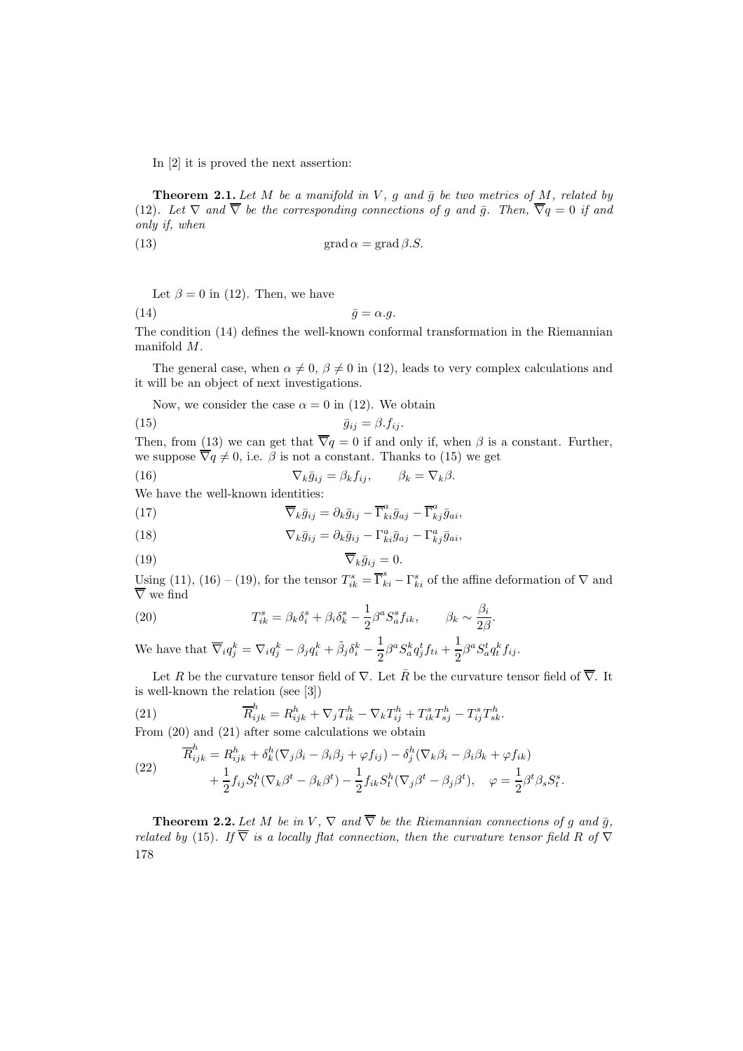In [2] it is proved the next assertion:

**Theorem 2.1.** Let M be a manifold in V, g and  $\bar{g}$  be two metrics of M, related by (12). Let  $\nabla$  and  $\overline{\nabla}$  be the corresponding connections of g and  $\overline{g}$ . Then,  $\overline{\nabla}q=0$  if and only if, when

(13) 
$$
\operatorname{grad} \alpha = \operatorname{grad} \beta.S.
$$

Let  $\beta = 0$  in (12). Then, we have

(14)  $\bar{g} = \alpha.g.$ 

The condition (14) defines the well-known conformal transformation in the Riemannian manifold M.

The general case, when  $\alpha \neq 0$ ,  $\beta \neq 0$  in (12), leads to very complex calculations and it will be an object of next investigations.

Now, we consider the case  $\alpha = 0$  in (12). We obtain

$$
\bar{g}_{ij} = \beta f_{ij}.
$$

Then, from (13) we can get that  $\overline{\nabla}q=0$  if and only if, when  $\beta$  is a constant. Further, we suppose  $\overline{\nabla}q \neq 0$ , i.e.  $\beta$  is not a constant. Thanks to (15) we get

(16) 
$$
\nabla_k \bar{g}_{ij} = \beta_k f_{ij}, \qquad \beta_k = \nabla_k \beta.
$$

We have the well-known identities:

(17) 
$$
\overline{\nabla}_k \overline{g}_{ij} = \partial_k \overline{g}_{ij} - \overline{\Gamma}^a_{ki} \overline{g}_{aj} - \overline{\Gamma}^a_{kj} \overline{g}_{ai},
$$

(18) 
$$
\nabla_k \bar{g}_{ij} = \partial_k \bar{g}_{ij} - \Gamma^a_{ki} \bar{g}_{aj} - \Gamma^a_{kj} \bar{g}_{ai},
$$

$$
\overline{\nabla}_k \bar{g}_{ij} = 0.
$$

Using (11), (16) – (19), for the tensor  $T_{ik}^s = \overline{\Gamma}_{ki}^s - \Gamma_{ki}^s$  of the affine deformation of  $\nabla$  and ∇ we find

(20) 
$$
T_{ik}^s = \beta_k \delta_i^s + \beta_i \delta_k^s - \frac{1}{2} \beta^a S_a^s f_{ik}, \qquad \beta_k \sim \frac{\beta_i}{2\beta}.
$$

We have that  $\overline{\nabla}_i q_j^k = \nabla_i q_j^k - \beta_j q_i^k + \tilde{\beta}_j \delta_i^k - \frac{1}{2}$  $\frac{1}{2}\beta^aS^k_aq^t_jf_{ti}+\frac{1}{2}$  $\frac{1}{2}\beta^a S^t_a q^k_t f_{ij}.$ 

Let R be the curvature tensor field of  $\nabla$ . Let  $\overline{R}$  be the curvature tensor field of  $\overline{\nabla}$ . It is well-known the relation (see [3])

(21) 
$$
\overline{R}_{ijk}^h = R_{ijk}^h + \nabla_j T_{ik}^h - \nabla_k T_{ij}^h + T_{ik}^s T_{sj}^h - T_{ij}^s T_{sk}^h.
$$

From (20) and (21) after some calculations we obtain

(22) 
$$
\overline{R}_{ijk}^h = R_{ijk}^h + \delta_k^h (\nabla_j \beta_i - \beta_i \beta_j + \varphi f_{ij}) - \delta_j^h (\nabla_k \beta_i - \beta_i \beta_k + \varphi f_{ik}) + \frac{1}{2} f_{ij} S_t^h (\nabla_k \beta^t - \beta_k \beta^t) - \frac{1}{2} f_{ik} S_t^h (\nabla_j \beta^t - \beta_j \beta^t), \quad \varphi = \frac{1}{2} \beta^t \beta_s S_t^s.
$$

**Theorem 2.2.** Let M be in V,  $\nabla$  and  $\overline{\nabla}$  be the Riemannian connections of g and  $\overline{g}$ , related by (15). If  $\overline{\nabla}$  is a locally flat connection, then the curvature tensor field R of  $\overline{\nabla}$ 178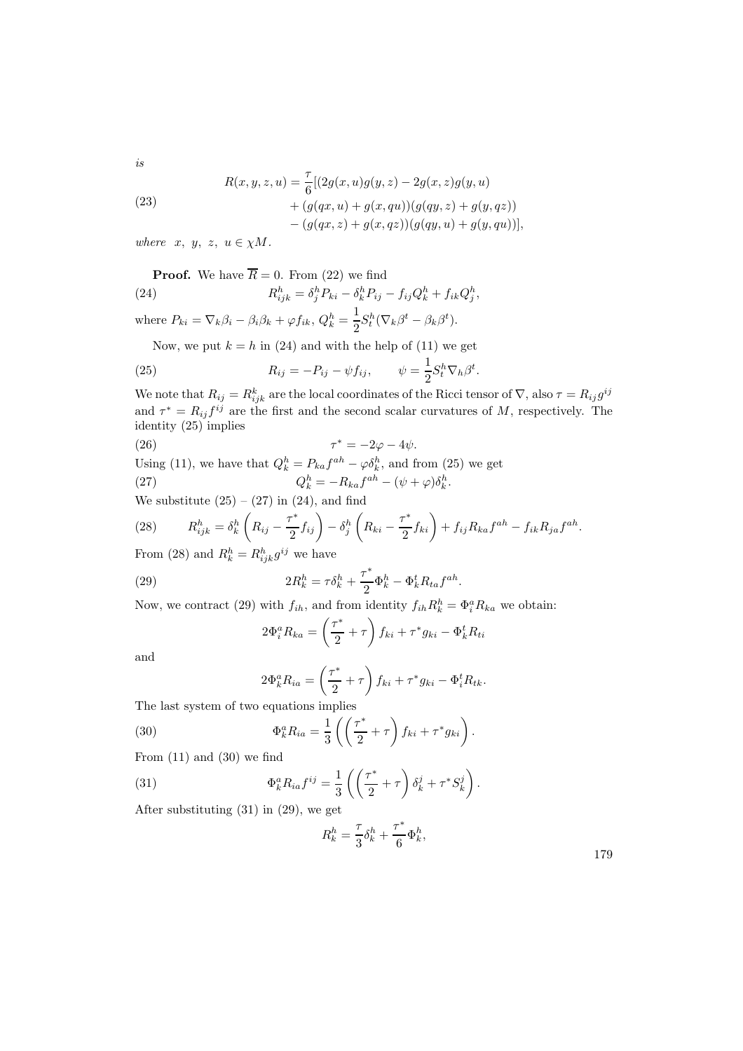is

(23)  
\n
$$
R(x, y, z, u) = \frac{\tau}{6} [(2g(x, u)g(y, z) - 2g(x, z)g(y, u) + (g(qx, u) + g(x, qu))(g(qy, z) + g(y, qz)) - (g(qx, z) + g(x, qz))(g(qy, u) + g(y, qu))],
$$

where  $x, y, z, u \in \chi M$ .

**Proof.** We have 
$$
\overline{R} = 0
$$
. From (22) we find  
(24) 
$$
R_{ijk}^{h} = \delta_{j}^{h} P_{ki} - \delta_{k}^{h} P_{ij} - f_{ij} Q_{k}^{h} + f_{ik} Q_{j}^{h},
$$

where  $P_{ki} = \nabla_k \beta_i - \beta_i \beta_k + \varphi f_{ik}, Q_k^h = \frac{1}{2}$  $\frac{1}{2}S_t^h(\nabla_k\beta^t-\beta_k\beta^t).$ 

Now, we put  $k = h$  in (24) and with the help of (11) we get

(25) 
$$
R_{ij} = -P_{ij} - \psi f_{ij}, \qquad \psi = \frac{1}{2} S_t^h \nabla_h \beta^t
$$

We note that  $R_{ij} = R_{ijk}^k$  are the local coordinates of the Ricci tensor of  $\nabla$ , also  $\tau = R_{ij} g^{ij}$ and  $\tau^* = R_{ij} f^{ij}$  are the first and the second scalar curvatures of M, respectively. The identity (25) implies

(26)  
\n
$$
\tau^* = -2\varphi - 4\psi.
$$
\nUsing (11), we have that  $Q_k^h = P_{ka}f^{ah} - \varphi \delta_k^h$ , and from (25) we get  
\n
$$
Q_k^h = -R_{ka}f^{ah} - (\psi + \varphi)\delta_k^h.
$$
\nWe substitute (25) - (27) in (24), and find

(28) 
$$
R_{ijk}^h = \delta_k^h \left( R_{ij} - \frac{\tau^*}{2} f_{ij} \right) - \delta_j^h \left( R_{ki} - \frac{\tau^*}{2} f_{ki} \right) + f_{ij} R_{ka} f^{ah} - f_{ik} R_{ja} f^{ah}.
$$
  
From (28) and  $R_k^h = R_{ijk}^h g^{ij}$  we have

(29) 
$$
2R_k^h = \tau \delta_k^h + \frac{\tau^*}{2} \Phi_k^h - \Phi_k^t R_{ta} f^{ah}.
$$

Now, we contract (29) with  $f_{ih}$ , and from identity  $f_{ih}R_k^h = \Phi_i^a R_{ka}$  we obtain:

$$
2\Phi_i^a R_{ka} = \left(\frac{\tau^*}{2} + \tau\right) f_{ki} + \tau^* g_{ki} - \Phi_k^t R_{ti}
$$

and

$$
2\Phi_k^a R_{ia} = \left(\frac{\tau^*}{2} + \tau\right) f_{ki} + \tau^* g_{ki} - \Phi_i^t R_{tk}.
$$

The last system of two equations implies

(30) 
$$
\Phi_k^a R_{ia} = \frac{1}{3} \left( \left( \frac{\tau^*}{2} + \tau \right) f_{ki} + \tau^* g_{ki} \right).
$$

From  $(11)$  and  $(30)$  we find

(31) 
$$
\Phi_k^a R_{ia} f^{ij} = \frac{1}{3} \left( \left( \frac{\tau^*}{2} + \tau \right) \delta_k^j + \tau^* S_k^j \right).
$$

After substituting (31) in (29), we get

$$
R_k^h = \frac{\tau}{3} \delta_k^h + \frac{\tau^*}{6} \Phi_k^h,
$$

.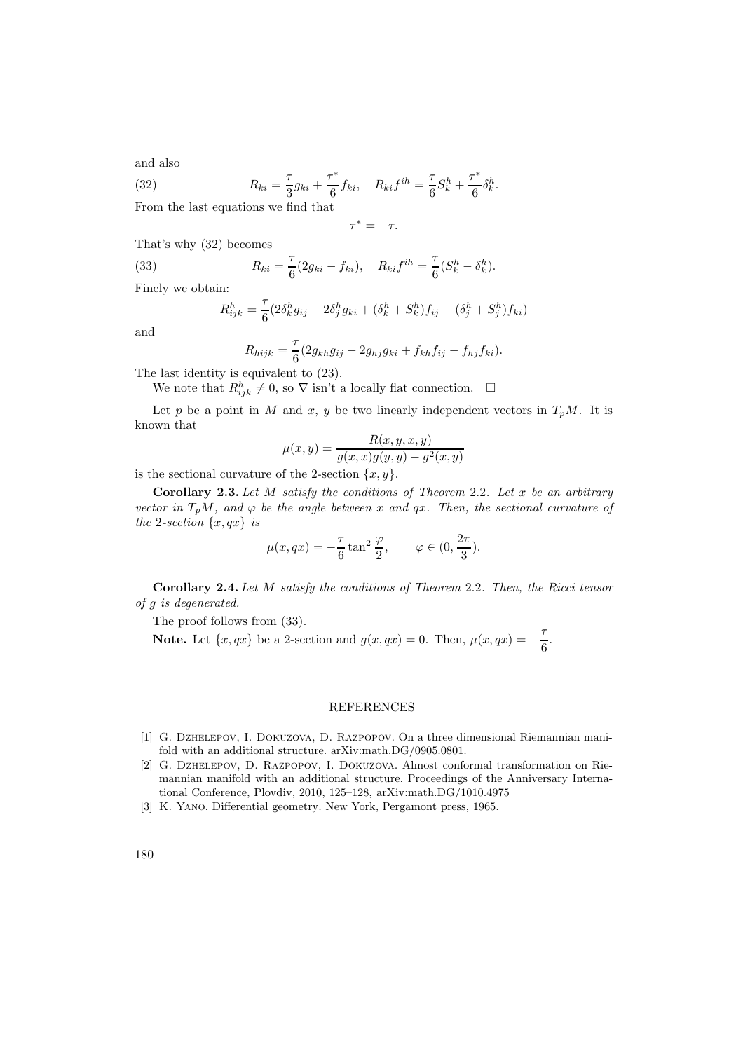and also

(32) 
$$
R_{ki} = \frac{\tau}{3}g_{ki} + \frac{\tau^*}{6}f_{ki}, \quad R_{ki}f^{ih} = \frac{\tau}{6}S_k^h + \frac{\tau^*}{6}\delta_k^h.
$$

From the last equations we find that

$$
\tau^* = -\tau.
$$

That's why (32) becomes

(33) 
$$
R_{ki} = \frac{\tau}{6}(2g_{ki} - f_{ki}), \quad R_{ki}f^{ih} = \frac{\tau}{6}(S_k^h - \delta_k^h).
$$

Finely we obtain:

$$
R_{ijk}^{h} = \frac{\tau}{6} \left( 2\delta_{k}^{h} g_{ij} - 2\delta_{j}^{h} g_{ki} + (\delta_{k}^{h} + S_{k}^{h}) f_{ij} - (\delta_{j}^{h} + S_{j}^{h}) f_{ki} \right)
$$

and

$$
R_{hijk} = \frac{\tau}{6} (2g_{kh}g_{ij} - 2g_{hj}g_{ki} + f_{kh}f_{ij} - f_{hj}f_{ki}).
$$

The last identity is equivalent to (23).

We note that  $R_{ijk}^h \neq 0$ , so  $\nabla$  isn't a locally flat connection.  $\square$ 

Let p be a point in M and x, y be two linearly independent vectors in  $T_pM$ . It is known that

$$
\mu(x, y) = \frac{R(x, y, x, y)}{g(x, x)g(y, y) - g^{2}(x, y)}
$$

is the sectional curvature of the 2-section  $\{x, y\}$ .

Corollary 2.3. Let  $M$  satisfy the conditions of Theorem 2.2. Let  $x$  be an arbitrary vector in  $T_pM$ , and  $\varphi$  be the angle between x and qx. Then, the sectional curvature of the 2-section  $\{x,qx\}$  is

$$
\mu(x, qx) = -\frac{\tau}{6} \tan^2 \frac{\varphi}{2}, \qquad \varphi \in (0, \frac{2\pi}{3}).
$$

Corollary 2.4. Let M satisfy the conditions of Theorem 2.2. Then, the Ricci tensor of g is degenerated.

The proof follows from (33).

Note. Let  $\{x, qx\}$  be a 2-section and  $g(x, qx) = 0$ . Then,  $\mu(x, qx) = -\frac{7}{6}$  $\frac{1}{6}$ .

### REFERENCES

- [1] G. Dzhelepov, I. Dokuzova, D. Razpopov. On a three dimensional Riemannian manifold with an additional structure. arXiv:math.DG/0905.0801.
- [2] G. Dzhelepov, D. Razpopov, I. Dokuzova. Almost conformal transformation on Riemannian manifold with an additional structure. Proceedings of the Anniversary International Conference, Plovdiv, 2010, 125–128, arXiv:math.DG/1010.4975
- [3] K. Yano. Differential geometry. New York, Pergamont press, 1965.